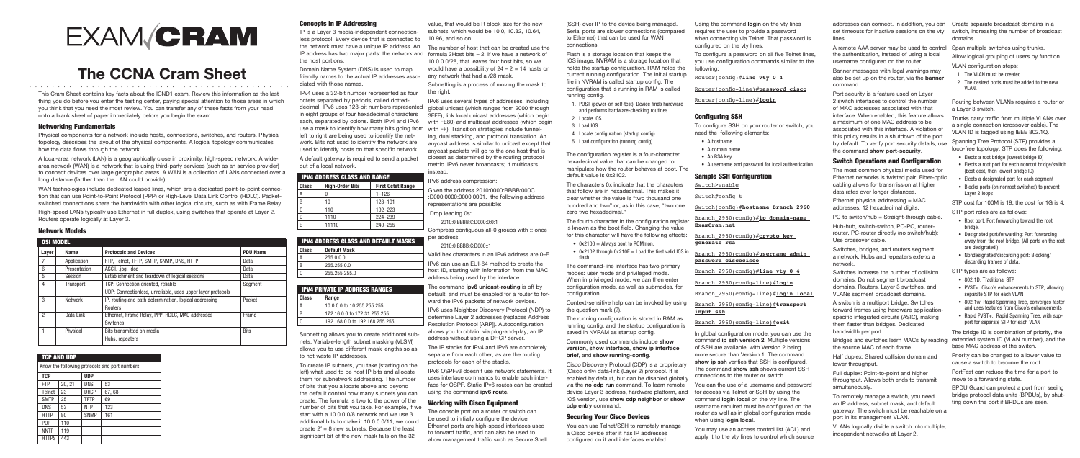#### Concepts in IP Addressing

IP is a Layer 3 media-independent connectionless protocol. Every device that is connected to the network must have a unique IP address. An IP address has two major parts: the network and formula 2Host bits – 2. If we have a network of the host portions.

Domain Name System (DNS) is used to map friendly names to the actual IP addresses associated with those names.

IPv4 uses a 32-bit number represented as four octets separated by periods, called dotteddecimal. IPv6 uses 128-bit numbers represented in eight groups of four hexadecimal characters each, separated by colons. Both IPv4 and IPv6 use a mask to identify how many bits going from left to right are being used to identify the network. Bits not used to identify the network are used to identify hosts on that specific network.

A default gateway is required to send a packet out of a local network.

| <b>IPV4 ADDRESS CLASS AND RANGE</b> |                        |                          |  |
|-------------------------------------|------------------------|--------------------------|--|
| Class                               | <b>High-Order Bits</b> | <b>First Octet Range</b> |  |
| А                                   |                        | $1 - 126$                |  |
| B                                   | 10                     | 128-191                  |  |
| С                                   | 110                    | $192 - 223$              |  |
| D                                   | 1110                   | 224-239                  |  |

E 11110 240–255

| <b>IPV4 ADDRESS CLASS AND DEFAULT MASKS</b> |                     |  |
|---------------------------------------------|---------------------|--|
| Class                                       | <b>Default Mask</b> |  |
| А                                           | 255.0.0.0           |  |
| B                                           | 255.255.0.0         |  |
|                                             | 255.255.255.0       |  |

| <b>HPV4 PRIVATE IP ADDRESS RANGES</b> |                                |  |
|---------------------------------------|--------------------------------|--|
| Class                                 | Range                          |  |
|                                       | 10.0.0.0 to 10.255.255.255     |  |
| R                                     | 172.16.0.0 to 172.31.255.255   |  |
|                                       | 192.168.0.0 to 192.168.255.255 |  |

Subnetting allows you to create additional subnets. Variable-length subnet masking (VLSM) allows you to use different mask lengths so as to not waste IP addresses.

To create IP subnets, you take (starting on the left) what used to be host IP bits and allocate them for subnetwork addressing. The number of bits that you allocate above and beyond the default control how many subnets you can create. The formula is two to the power of the number of bits that you take. For example, if we start with a 10.0.0.0/8 network and we use 3 additional bits to make it 10.0.0.0/11, we could create  $2^3 = 8$  new subnets. Because the least significant bit of the new mask falls on the 32

IPv6 OSPFv3 doesn't use network statements. I uses interface commands to enable each interface for OSPF. Static IPv6 routes can be created using the command **ipv6 route.**

value, that would be R block size for the new subnets, which would be 10.0, 10.32, 10.64, 10.96, and so on.

The number of host that can be created use the 10.0.0.0/28, that leaves four host bits, so we would have a possibility of  $24 - 2 = 14$  hosts on any network that had a /28 mask.

Subnetting is a process of moving the mask to the right.

IPv6 uses several types of addresses, including global unicast (which ranges from 2000 through 3FFF), link local unicast addresses (which begin with FE80) and multicast addresses (which begin with FF). Transition strategies include tunneling, dual stacking, and protocol translation. An anycast address is similar to unicast except that anycast packets will go to the one host that is closest as determined by the routing protocol metric. IPv6 never broadcasts; it multicasts instead.

#### TCP AND UDP Know the following protocols and port numbers: TCP UDP FTP  $\vert$  20, 21 DNS  $\vert$  53  $Telnet$  23 DHCP 67, 68  $SMTP$  25 TFTP 69 DNS 53 NTP 123 HTTP 80 SNMP 161 POP 110 NNTP 119 **HTTPS** 443

#### IPv6 address compression:

Given the address 2010:0000:BBBB:000C :D000:0000:0000:0001, the following address representations are possible:

Drop leading 0s:

2010:0:BBBB:C:D000:0:0:1

Compress contiguous all-0 groups with :: once per address.

2010:0:BBBB:C:D000::1

Valid hex characters in an IPv6 address are 0–F.

IPv6 can use an EUI-64 method to create the host ID, starting with information from the MAC address being used by the interface.

The command **ipv6 unicast-routing** is off by default, and must be enabled for a router to forward the IPv6 packets of network devices.

IPv6 uses Neighbor Discovery Protocol (NDP) to determine Layer 2 addresses (replaces Address Resolution Protocol [ARP]). Autoconfiguration allows you to obtain, via plug-and-play, an IP address without using a DHCP server.

The IP stacks for IPv4 and IPv6 are completely separate from each other, as are the routing protocols for each of the stacks.

- $0x2100 =$  Always boot to ROMmon.
- 0x2102 through  $0x210F =$  Load the first valid IOS in flash.

#### Working with Cisco Equipment

The console port on a router or switch can be used to initially configure the device. Ethernet ports are high-speed interfaces used to forward traffic, and can also be used to allow management traffic such as Secure Shell

This Cram Sheet contains key facts about the ICND1 exam. Review this information as the last thing you do before you enter the testing center, paying special attention to those areas in which you think that you need the most review. You can transfer any of these facts from your head onto a blank sheet of paper immediately before you begin the exam.

#### Networking Fundamentals

Physical components for a network include hosts, connections, switches, and routers. Physical topology describes the layout of the physical components. A logical topology communicates how the data flows through the network.

# **EXAM CRAM**

## **The CCNA Cram Sheet** ..............................................

A local-area network (LAN) is a geographically close in proximity, high-speed network. A widearea network (WAN) is a network that is using third-party services (such as an service provider) to connect devices over large geographic areas. A WAN is a collection of LANs connected over a long distance (farther than the LAN could provide).

WAN technologies include dedicated leased lines, which are a dedicated point-to-point connection that can use Point-to-Point Protocol (PPP) or High-Level Data Link Control (HDLC). Packetswitched connections share the bandwidth with other logical circuits, such as with Frame Relay.

High-speed LANs typically use Ethernet in full duplex, using switches that operate at Layer 2. Routers operate logically at Layer 3.

#### Network Models

| <b>OSI MODEL</b> |                |                                                             |                 |
|------------------|----------------|-------------------------------------------------------------|-----------------|
| Layer            | Name           | <b>Protocols and Devices</b>                                | <b>PDU Name</b> |
|                  | Application    | FTP, Telnet, TFTP, SMTP, SNMP, DNS, HTTP                    | Data            |
| 6                | Presentation   | ASCII, .jpg, .doc                                           | Data            |
| 5                | Session        | Establishment and teardown of logical sessions              | Data            |
| 4                | Transport      | TCP: Connection oriented, reliable                          | Segment         |
|                  |                | UDP: Connectionless, unreliable, uses upper layer protocols |                 |
| 3                | <b>Network</b> | IP, routing and path determination, logical addressing      | Packet          |
|                  |                | Routers                                                     |                 |
| 2                | Data Link      | Ethernet, Frame Relay, PPP, HDLC, MAC addresses             | Frame           |
|                  |                | Switches                                                    |                 |
|                  | Physical       | Bits transmitted on media                                   | <b>Bits</b>     |
|                  |                | Hubs, repeaters                                             |                 |
|                  |                |                                                             |                 |

(SSH) over IP to the device being managed. Serial ports are slower connections (compared to Ethernet) that can be used for WAN connections.

- Elects a root bridge (lowest bridge ID)
- Elects a root port for each nonroot bridge/switch (best cost, then lowest bridge ID)
- • Elects a designated port for each segment
- Blocks ports (on nonroot switches) to prevent Layer 2 loops

- Root port: Port forwarding toward the root bridge.
- Designated port/forwarding: Port forwarding away from the root bridge. (All ports on the root are designated.)
- Nondesignated/discarding port: Blocking/ discarding frames of data.

- 802.1D: Traditional STP
- PVST+: Cisco's enhancements to STP, allowing separate STP for each VLAN
- 802.1w: Rapid Spanning Tree, converges faster and uses features from Cisco's enhancements
- Rapid PVST+: Rapid Spanning Tree, with support for separate STP for each VLAN
- 1. POST (power-on self-test): Device finds hardware and performs hardware-checking routines.
- 2. Locate IOS.
- 3. Load IOS.
- 4. Locate configuration (startup config). 5. Load configuration (running config).

The configuration register is a four-character hexadecimal value that can be changed to manipulate how the router behaves at boot. The default value is 0x2102.

The characters 0x indicate that the characters that follow are in hexadecimal. This makes it clear whether the value is "two thousand one hundred and two" or, as in this case, "two one zero two hexadecimal."

The fourth character in the configuration register is known as the boot field. Changing the value for this character will have the following effects:

Flash is a storage location that keeps the IOS image. NVRAM is a storage location that holds the startup configuration. RAM holds the current running configuration. The initial startup file in NVRAM is called startup config. The configuration that is running in RAM is called running config. To configure a password on all five Telnet lines, you use configuration commands similar to the following: Router(config)#**line vty 0 4** Router(config-line)#**password cisco**

The command-line interface has two primary modes: user mode and privileged mode. When in privileged mode, we can then enter configuration mode, as well as submodes, for configuration.

Context-sensitive help can be invoked by using the question mark (?).

The running configuration is stored in RAM as running config, and the startup configuration is saved in NVRAM as startup config.

Commonly used commands include **show version**, **show interface**, **show ip interface brief**, and **show running-config**.

Cisco Discovery Protocol (CDP) is a proprietary (Cisco only) data-link (Layer 2) protocol. It is enabled by default, but can be disabled globally via the **no cdp run** command. To learn remote device Layer 3 address, hardware platform, and for access via Telnet or SSH by using the IOS version, use **show cdp neighbor** or **show cdp entry** command.

#### Securing Your Cisco Devices

You can use Telnet/SSH to remotely manage a Cisco device after it has IP addresses configured on it and interfaces enabled.

Using the command **login** on the vty lines requires the user to provide a password when connecting via Telnet. That password is configured on the vty lines.

Router(config-line)#**login**

#### Configuring SSH

To configure SSH on your router or switch, you need the following elements:

- A hostname
- • A domain name
- An RSA key
- A username and password for local authentication

#### Sample SSH Configuration

Switch>enable

Switch#config t

Switch(config)#**hostname Branch\_2960**

Branch\_2960(config)#**ip domain-name ExamCram.net**

Branch\_2960(config)#**crypto key generate rsa**

Branch\_2960(config)#**username admin password ciscocisco**

Branch 2960(config)#line vty 0 4

Branch\_2960(config-line)#**login**

Branch\_2960(config-line)#**login local**

#### Branch\_2960(config-line)#**transport input ssh**

#### Branch\_2960(config-line)#**exit**

In global configuration mode, you can use the command **ip ssh version 2**. Multiple versions of SSH are available, with Version 2 being more secure than Version 1. The command **show ip ssh** verifies that SSH is configured. The command **show ssh** shows current SSH connections to the router or switch.

You can the use of a username and password command **login local** on the vty line. The username required must be configured on the router as well as in global configuration mode when using **login local**.

You may use an access control list (ACL) and apply it to the vty lines to control which source

addresses can connect. In addition, you can Create separate broadcast domains in a set timeouts for inactive sessions on the vty switch, increasing the number of broadcast lines.

A remote AAA server may be used to control Span multiple switches using trunks. the authentication, instead of using a local username configured on the router.

Banner messages with legal warnings may also be set up on the router, via the **banner** command.

Port security is a feature used on Layer 2 switch interfaces to control the number of MAC addresses associated with that interface. When enabled, this feature allows a maximum of one MAC address to be associated with this interface. A violation of this policy results in a shutdown of the port by default. To verify port security details, use the command **show port-security**.

### Switch Operations and Configuration

The most common physical media used for Ethernet networks is twisted pair. Fiber-optic cabling allows for transmission at higher data rates over longer distances.

Ethernet physical addressing = MAC addresses. 12 hexadecimal digits.

PC to switch/hub = Straight-through cable.

Hub-hub, switch-switch, PC-PC, routerrouter, PC-router directly (no switch/hub): Use crossover cable.

Switches, bridges, and routers segment a network. Hubs and repeaters *extend* a network.

Switches increase the number of collision domains. Do not segment broadcast domains. Routers, Layer 3 switches, and VLANs segment broadcast domains.

A switch is a multiport bridge. Switches forward frames using hardware applicationspecific integrated circuits (ASIC), making them faster than bridges. Dedicated bandwidth per port.

Bridges and switches learn MACs by reading the source MAC of each frame.

Half duplex: Shared collision domain and lower throughput.

Full duplex: Point-to-point and higher throughput. Allows both ends to transmit simultaneously.

To remotely manage a switch, you need an IP address, subnet mask, and default gateway. The switch must be reachable on a port in its management VLAN.

VLANs logically divide a switch into multiple, independent networks at Layer 2.

domains.

Allow logical grouping of users by function.

#### VLAN configuration steps:

- 1. The VLAN must be created.
- 2. The desired ports must be added to the new VLAN.

Routing between VLANs requires a router or a Layer 3 switch.

Trunks carry traffic from multiple VLANs over a single connection (crossover cable). The VLAN ID is tagged using IEEE 802.1Q.

Spanning Tree Protocol (STP) provides a loop-free topology. STP does the following:

STP cost for 100M is 19; the cost for 1G is 4.

STP port roles are as follows:

STP types are as follows:

The bridge ID is combination of priority, the extended system ID (VLAN number), and the base MAC address of the switch.

Priority can be changed to a lower value to cause a switch to become the root.

PortFast can reduce the time for a port to move to a forwarding state.

BPDU Guard can protect a port from seeing bridge protocol data units (BPDUs), by shutting down the port if BPDUs are seen.